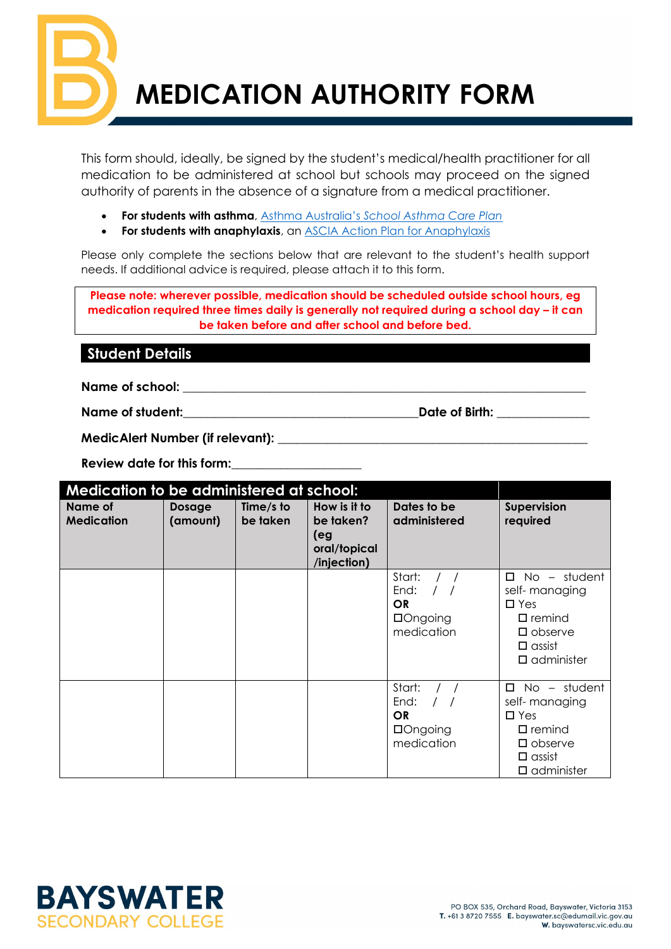**MEDICATION AUTHORITY FORM**

This form should, ideally, be signed by the student's medical/health practitioner for all medication to be administered at school but schools may proceed on the signed authority of parents in the absence of a signature from a medical practitioner.

• **For students with asthma**, Asthma Australia's *[School Asthma Care Plan](https://www.asthmaaustralia.org.au/vic/about-asthma/resources)*

• **For students with anaphylaxis**, an [ASCIA Action Plan for Anaphylaxis](https://allergy.org.au/health-professionals/ascia-plans-action-and-treatment)

Please only complete the sections below that are relevant to the student's health support needs. If additional advice is required, please attach it to this form.

**Please note: wherever possible, medication should be scheduled outside school hours, eg medication required three times daily is generally not required during a school day – it can be taken before and after school and before bed.**

# **Student Details**

Name of school:

Name of student: **Name of student:**  $\blacksquare$ 

**MedicAlert Number (if relevant):** 

**Review date for this form:\_\_\_\_\_\_\_\_\_\_\_\_\_\_\_\_\_\_\_\_\_**

| Medication to be administered at school: |                           |                       |                                                                 |                                                       |                                                                                                                                                                        |  |
|------------------------------------------|---------------------------|-----------------------|-----------------------------------------------------------------|-------------------------------------------------------|------------------------------------------------------------------------------------------------------------------------------------------------------------------------|--|
| <b>Name of</b><br><b>Medication</b>      | <b>Dosage</b><br>(amount) | Time/s to<br>be taken | How is it to<br>be taken?<br>(eg<br>oral/topical<br>/injection) | Dates to be<br>administered                           | Supervision<br>required                                                                                                                                                |  |
|                                          |                           |                       |                                                                 | Start:<br>End:<br><b>OR</b><br>□Ongoing<br>medication | $No - student$<br>П<br>self-managing<br>$\Box$ Yes<br>$\square$ remind<br>$\square$ observe<br>$\Box$ assist<br>$\square$ administer                                   |  |
|                                          |                           |                       |                                                                 | Start:<br>End:<br><b>OR</b><br>□Ongoing<br>medication | student<br>No.<br>□<br>$\overline{\phantom{a}}$<br>self-managing<br>$\square$ Yes<br>$\square$ remind<br>$\square$ observe<br>$\square$ assist<br>$\square$ administer |  |